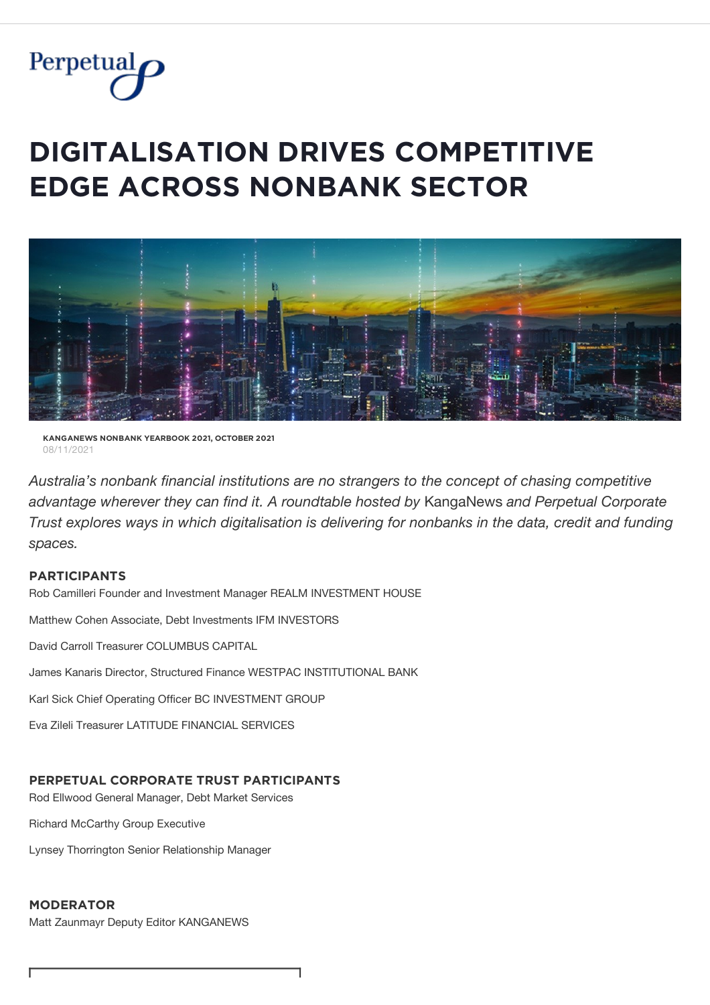

# $\blacksquare$ **DIGITALISATION DRIVES COMPETITIVE**  $E$ **DGE ACROSS NONBANK SECTOR**



**ĶǺŇĢǺŇĚẄȘ ŇǾŇBǺŇĶ ỲĚǺŘBǾǾĶ 2021, ǾČȚǾBĚŘ 2021** 08/11/2021

*Australia's nonbank financial institutions are no strangers to the concept of chasing competitive advantage wherever they can find it. A roundtable hosted by* KangaNews *and Perpetual Corporate Trust explores ways in which digitalisation is delivering for nonbanks in the data, credit and funding spaces.*

# **PǺŘȚİČİPǺŇȚȘ**

Rob Camilleri Founder and Investment Manager REALM INVESTMENT HOUSE

Matthew Cohen Associate, Debt Investments IFM INVESTORS

David Carroll Treasurer COLUMBUS CAPITAL

James Kanaris Director, Structured Finance WESTPAC INSTITUTIONAL BANK

٦

Karl Sick Chief Operating Officer BC INVESTMENT GROUP

Eva Zileli Treasurer LATITUDE FINANCIAL SERVICES

# **PĚŘPĚȚŲǺĿ ČǾŘPǾŘǺȚĚ ȚŘŲȘȚ PǺŘȚİČİPǺŇȚȘ**

Rod Ellwood General Manager, Debt Market Services

Richard McCarthy Group Executive

Lynsey Thorrington Senior Relationship Manager

# **MǾĐĚŘǺȚǾŘ**

Matt Zaunmayr Deputy Editor KANGANEWS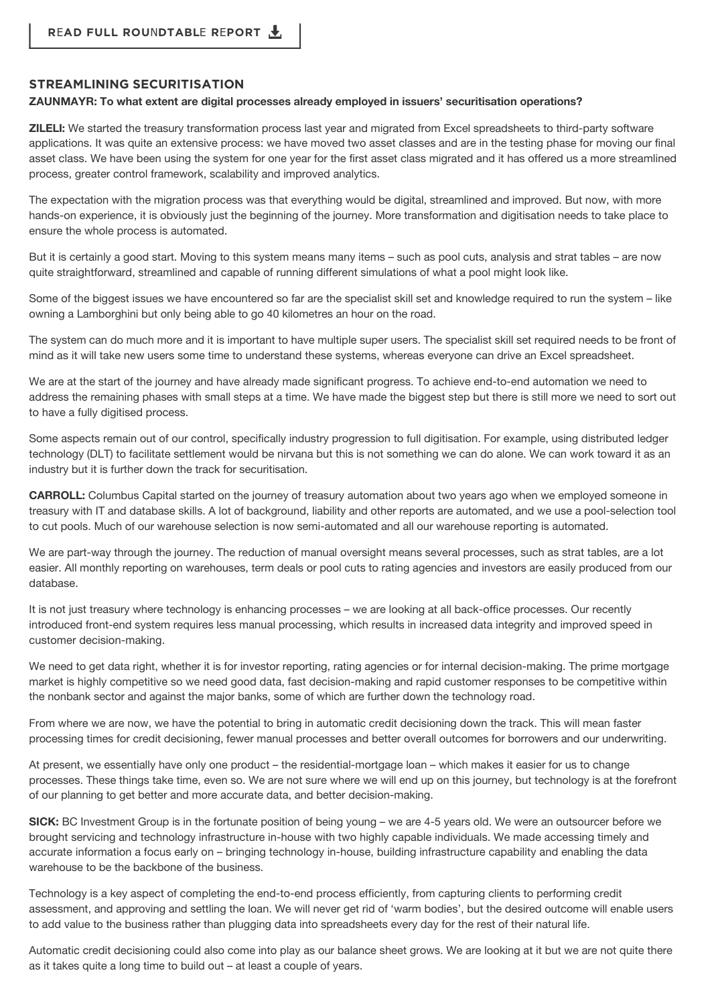## $S$ **TREAMLINING SECURITISATION**

#### **ZAUNMAYR: To what extent are digital processes already employed in issuers' securitisation operations?**

**ZILELI:** We started the treasury transformation process last year and migrated from Excel spreadsheets to third-party software applications. It was quite an extensive process: we have moved two asset classes and are in the testing phase for moving our final asset class. We have been using the system for one year for the first asset class migrated and it has offered us a more streamlined process, greater control framework, scalability and improved analytics.

The expectation with the migration process was that everything would be digital, streamlined and improved. But now, with more hands-on experience, it is obviously just the beginning of the journey. More transformation and digitisation needs to take place to ensure the whole process is automated.

But it is certainly a good start. Moving to this system means many items – such as pool cuts, analysis and strat tables – are now quite straightforward, streamlined and capable of running different simulations of what a pool might look like.

Some of the biggest issues we have encountered so far are the specialist skill set and knowledge required to run the system – like owning a Lamborghini but only being able to go 40 kilometres an hour on the road.

The system can do much more and it is important to have multiple super users. The specialist skill set required needs to be front of mind as it will take new users some time to understand these systems, whereas everyone can drive an Excel spreadsheet.

We are at the start of the journey and have already made significant progress. To achieve end-to-end automation we need to address the remaining phases with small steps at a time. We have made the biggest step but there is still more we need to sort out to have a fully digitised process.

Some aspects remain out of our control, specifically industry progression to full digitisation. For example, using distributed ledger technology (DLT) to facilitate settlement would be nirvana but this is not something we can do alone. We can work toward it as an industry but it is further down the track for securitisation.

**CARROLL:** Columbus Capital started on the journey of treasury automation about two years ago when we employed someone in treasury with IT and database skills. A lot of background, liability and other reports are automated, and we use a pool-selection tool to cut pools. Much of our warehouse selection is now semi-automated and all our warehouse reporting is automated.

We are part-way through the journey. The reduction of manual oversight means several processes, such as strat tables, are a lot easier. All monthly reporting on warehouses, term deals or pool cuts to rating agencies and investors are easily produced from our database.

It is not just treasury where technology is enhancing processes – we are looking at all back-office processes. Our recently introduced front-end system requires less manual processing, which results in increased data integrity and improved speed in customer decision-making.

We need to get data right, whether it is for investor reporting, rating agencies or for internal decision-making. The prime mortgage market is highly competitive so we need good data, fast decision-making and rapid customer responses to be competitive within the nonbank sector and against the major banks, some of which are further down the technology road.

From where we are now, we have the potential to bring in automatic credit decisioning down the track. This will mean faster processing times for credit decisioning, fewer manual processes and better overall outcomes for borrowers and our underwriting.

At present, we essentially have only one product – the residential-mortgage loan – which makes it easier for us to change processes. These things take time, even so. We are not sure where we will end up on this journey, but technology is at the forefront of our planning to get better and more accurate data, and better decision-making.

**SICK:** BC Investment Group is in the fortunate position of being young – we are 4-5 years old. We were an outsourcer before we brought servicing and technology infrastructure in-house with two highly capable individuals. We made accessing timely and accurate information a focus early on – bringing technology in-house, building infrastructure capability and enabling the data warehouse to be the backbone of the business.

Technology is a key aspect of completing the end-to-end process efficiently, from capturing clients to performing credit assessment, and approving and settling the loan. We will never get rid of 'warm bodies', but the desired outcome will enable users to add value to the business rather than plugging data into spreadsheets every day for the rest of their natural life.

Automatic credit decisioning could also come into play as our balance sheet grows. We are looking at it but we are not quite there as it takes quite a long time to build out – at least a couple of years.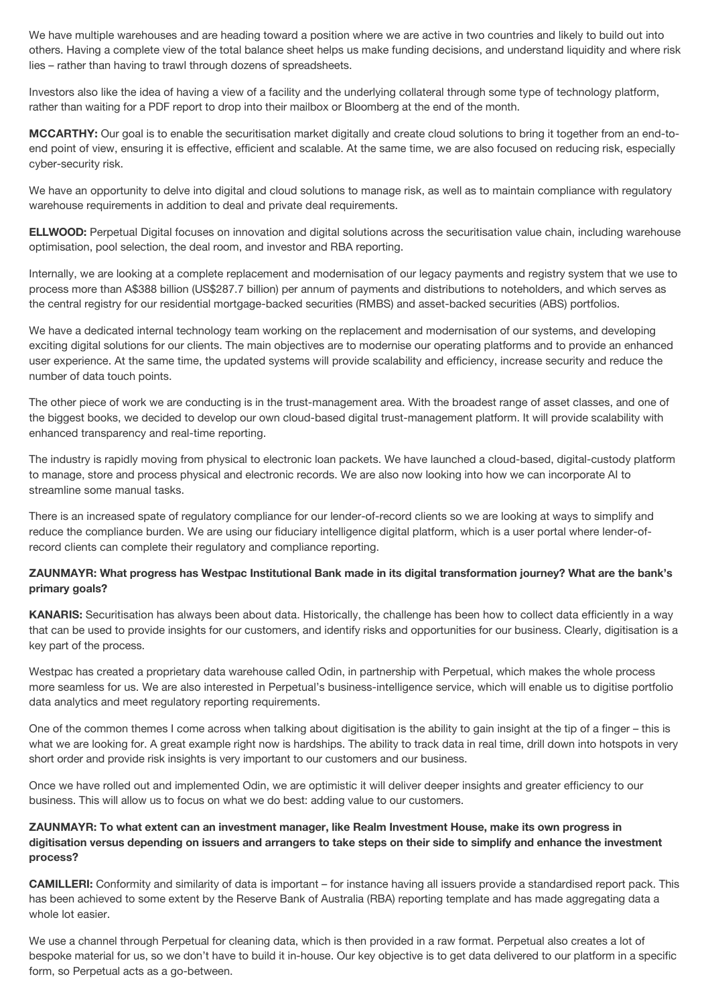We have multiple warehouses and are heading toward a position where we are active in two countries and likely to build out into others. Having a complete view of the total balance sheet helps us make funding decisions, and understand liquidity and where risk lies – rather than having to trawl through dozens of spreadsheets.

Investors also like the idea of having a view of a facility and the underlying collateral through some type of technology platform, rather than waiting for a PDF report to drop into their mailbox or Bloomberg at the end of the month.

**MCCARTHY:** Our goal is to enable the securitisation market digitally and create cloud solutions to bring it together from an end-toend point of view, ensuring it is effective, efficient and scalable. At the same time, we are also focused on reducing risk, especially cyber-security risk.

We have an opportunity to delve into digital and cloud solutions to manage risk, as well as to maintain compliance with regulatory warehouse requirements in addition to deal and private deal requirements.

**ELLWOOD:** Perpetual Digital focuses on innovation and digital solutions across the securitisation value chain, including warehouse optimisation, pool selection, the deal room, and investor and RBA reporting.

Internally, we are looking at a complete replacement and modernisation of our legacy payments and registry system that we use to process more than A\$388 billion (US\$287.7 billion) per annum of payments and distributions to noteholders, and which serves as the central registry for our residential mortgage-backed securities (RMBS) and asset-backed securities (ABS) portfolios.

We have a dedicated internal technology team working on the replacement and modernisation of our systems, and developing exciting digital solutions for our clients. The main objectives are to modernise our operating platforms and to provide an enhanced user experience. At the same time, the updated systems will provide scalability and efficiency, increase security and reduce the number of data touch points.

The other piece of work we are conducting is in the trust-management area. With the broadest range of asset classes, and one of the biggest books, we decided to develop our own cloud-based digital trust-management platform. It will provide scalability with enhanced transparency and real-time reporting.

The industry is rapidly moving from physical to electronic loan packets. We have launched a cloud-based, digital-custody platform to manage, store and process physical and electronic records. We are also now looking into how we can incorporate AI to streamline some manual tasks.

There is an increased spate of regulatory compliance for our lender-of-record clients so we are looking at ways to simplify and reduce the compliance burden. We are using our fiduciary intelligence digital platform, which is a user portal where lender-ofrecord clients can complete their regulatory and compliance reporting.

# **ZAUNMAYR: What progress has Westpac Institutional Bank made in its digital transformation journey? What are the bank's primary goals?**

**KANARIS:** Securitisation has always been about data. Historically, the challenge has been how to collect data efficiently in a way that can be used to provide insights for our customers, and identify risks and opportunities for our business. Clearly, digitisation is a key part of the process.

Westpac has created a proprietary data warehouse called Odin, in partnership with Perpetual, which makes the whole process more seamless for us. We are also interested in Perpetual's business-intelligence service, which will enable us to digitise portfolio data analytics and meet regulatory reporting requirements.

One of the common themes I come across when talking about digitisation is the ability to gain insight at the tip of a finger – this is what we are looking for. A great example right now is hardships. The ability to track data in real time, drill down into hotspots in very short order and provide risk insights is very important to our customers and our business.

Once we have rolled out and implemented Odin, we are optimistic it will deliver deeper insights and greater efficiency to our business. This will allow us to focus on what we do best: adding value to our customers.

# **ZAUNMAYR: To what extent can an investment manager, like Realm Investment House, make its own progress in digitisation versus depending on issuers and arrangers to take steps on their side to simplify and enhance the investment process?**

**CAMILLERI:** Conformity and similarity of data is important – for instance having all issuers provide a standardised report pack. This has been achieved to some extent by the Reserve Bank of Australia (RBA) reporting template and has made aggregating data a whole lot easier.

We use a channel through Perpetual for cleaning data, which is then provided in a raw format. Perpetual also creates a lot of bespoke material for us, so we don't have to build it in-house. Our key objective is to get data delivered to our platform in a specific form, so Perpetual acts as a go-between.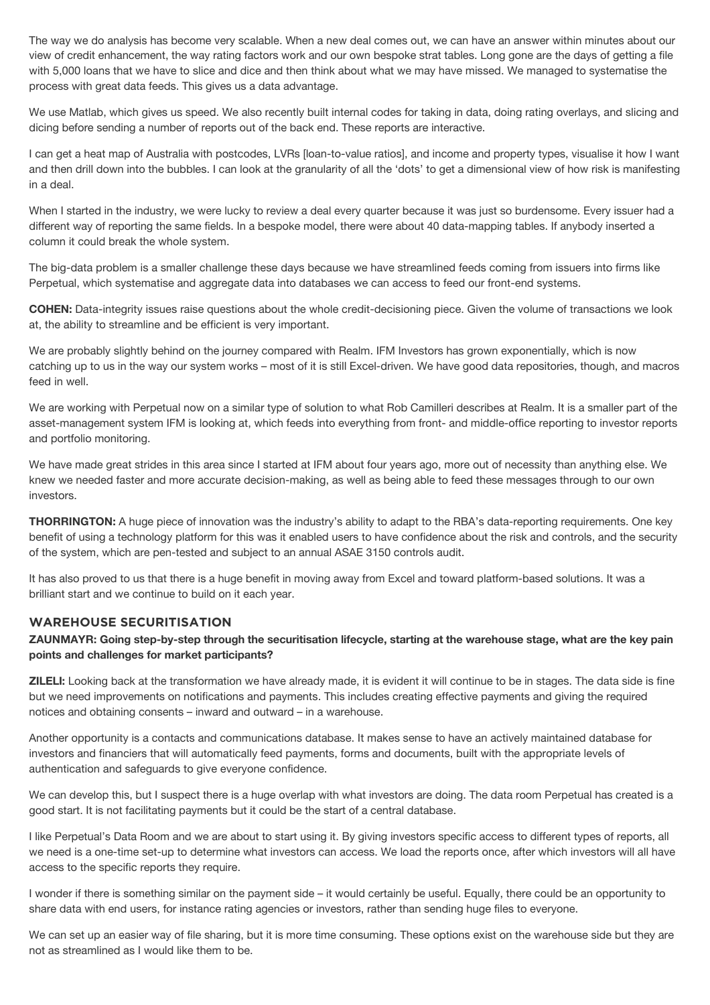The way we do analysis has become very scalable. When a new deal comes out, we can have an answer within minutes about our view of credit enhancement, the way rating factors work and our own bespoke strat tables. Long gone are the days of getting a file with 5,000 loans that we have to slice and dice and then think about what we may have missed. We managed to systematise the process with great data feeds. This gives us a data advantage.

We use Matlab, which gives us speed. We also recently built internal codes for taking in data, doing rating overlays, and slicing and dicing before sending a number of reports out of the back end. These reports are interactive.

I can get a heat map of Australia with postcodes, LVRs [loan-to-value ratios], and income and property types, visualise it how I want and then drill down into the bubbles. I can look at the granularity of all the 'dots' to get a dimensional view of how risk is manifesting in a deal.

When I started in the industry, we were lucky to review a deal every quarter because it was just so burdensome. Every issuer had a different way of reporting the same fields. In a bespoke model, there were about 40 data-mapping tables. If anybody inserted a column it could break the whole system.

The big-data problem is a smaller challenge these days because we have streamlined feeds coming from issuers into firms like Perpetual, which systematise and aggregate data into databases we can access to feed our front-end systems.

**COHEN:** Data-integrity issues raise questions about the whole credit-decisioning piece. Given the volume of transactions we look at, the ability to streamline and be efficient is very important.

We are probably slightly behind on the journey compared with Realm. IFM Investors has grown exponentially, which is now catching up to us in the way our system works – most of it is still Excel-driven. We have good data repositories, though, and macros feed in well.

We are working with Perpetual now on a similar type of solution to what Rob Camilleri describes at Realm. It is a smaller part of the asset-management system IFM is looking at, which feeds into everything from front- and middle-office reporting to investor reports and portfolio monitoring.

We have made great strides in this area since I started at IFM about four years ago, more out of necessity than anything else. We knew we needed faster and more accurate decision-making, as well as being able to feed these messages through to our own investors.

**THORRINGTON:** A huge piece of innovation was the industry's ability to adapt to the RBA's data-reporting requirements. One key benefit of using a technology platform for this was it enabled users to have confidence about the risk and controls, and the security of the system, which are pen-tested and subject to an annual ASAE 3150 controls audit.

It has also proved to us that there is a huge benefit in moving away from Excel and toward platform-based solutions. It was a brilliant start and we continue to build on it each year.

#### **WAREHOUSE SECURITISATION**

#### **ZAUNMAYR: Going step-by-step through the securitisation lifecycle, starting at the warehouse stage, what are the key pain points and challenges for market participants?**

**ZILELI:** Looking back at the transformation we have already made, it is evident it will continue to be in stages. The data side is fine but we need improvements on notifications and payments. This includes creating effective payments and giving the required notices and obtaining consents – inward and outward – in a warehouse.

Another opportunity is a contacts and communications database. It makes sense to have an actively maintained database for investors and financiers that will automatically feed payments, forms and documents, built with the appropriate levels of authentication and safeguards to give everyone confidence.

We can develop this, but I suspect there is a huge overlap with what investors are doing. The data room Perpetual has created is a good start. It is not facilitating payments but it could be the start of a central database.

I like Perpetual's Data Room and we are about to start using it. By giving investors specific access to different types of reports, all we need is a one-time set-up to determine what investors can access. We load the reports once, after which investors will all have access to the specific reports they require.

I wonder if there is something similar on the payment side – it would certainly be useful. Equally, there could be an opportunity to share data with end users, for instance rating agencies or investors, rather than sending huge files to everyone.

We can set up an easier way of file sharing, but it is more time consuming. These options exist on the warehouse side but they are not as streamlined as I would like them to be.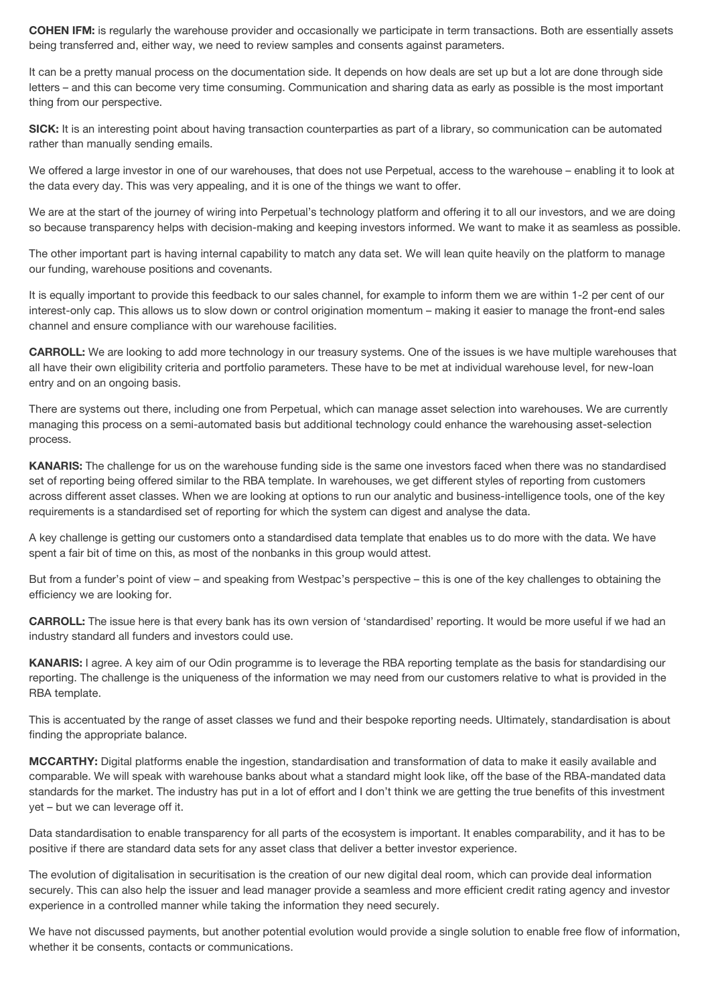**COHEN IFM:** is regularly the warehouse provider and occasionally we participate in term transactions. Both are essentially assets being transferred and, either way, we need to review samples and consents against parameters.

It can be a pretty manual process on the documentation side. It depends on how deals are set up but a lot are done through side letters – and this can become very time consuming. Communication and sharing data as early as possible is the most important thing from our perspective.

**SICK:** It is an interesting point about having transaction counterparties as part of a library, so communication can be automated rather than manually sending emails.

We offered a large investor in one of our warehouses, that does not use Perpetual, access to the warehouse – enabling it to look at the data every day. This was very appealing, and it is one of the things we want to offer.

We are at the start of the journey of wiring into Perpetual's technology platform and offering it to all our investors, and we are doing so because transparency helps with decision-making and keeping investors informed. We want to make it as seamless as possible.

The other important part is having internal capability to match any data set. We will lean quite heavily on the platform to manage our funding, warehouse positions and covenants.

It is equally important to provide this feedback to our sales channel, for example to inform them we are within 1-2 per cent of our interest-only cap. This allows us to slow down or control origination momentum – making it easier to manage the front-end sales channel and ensure compliance with our warehouse facilities.

**CARROLL:** We are looking to add more technology in our treasury systems. One of the issues is we have multiple warehouses that all have their own eligibility criteria and portfolio parameters. These have to be met at individual warehouse level, for new-loan entry and on an ongoing basis.

There are systems out there, including one from Perpetual, which can manage asset selection into warehouses. We are currently managing this process on a semi-automated basis but additional technology could enhance the warehousing asset-selection process.

**KANARIS:** The challenge for us on the warehouse funding side is the same one investors faced when there was no standardised set of reporting being offered similar to the RBA template. In warehouses, we get different styles of reporting from customers across different asset classes. When we are looking at options to run our analytic and business-intelligence tools, one of the key requirements is a standardised set of reporting for which the system can digest and analyse the data.

A key challenge is getting our customers onto a standardised data template that enables us to do more with the data. We have spent a fair bit of time on this, as most of the nonbanks in this group would attest.

But from a funder's point of view – and speaking from Westpac's perspective – this is one of the key challenges to obtaining the efficiency we are looking for.

**CARROLL:** The issue here is that every bank has its own version of 'standardised' reporting. It would be more useful if we had an industry standard all funders and investors could use.

**KANARIS:** I agree. A key aim of our Odin programme is to leverage the RBA reporting template as the basis for standardising our reporting. The challenge is the uniqueness of the information we may need from our customers relative to what is provided in the RBA template.

This is accentuated by the range of asset classes we fund and their bespoke reporting needs. Ultimately, standardisation is about finding the appropriate balance.

**MCCARTHY:** Digital platforms enable the ingestion, standardisation and transformation of data to make it easily available and comparable. We will speak with warehouse banks about what a standard might look like, off the base of the RBA-mandated data standards for the market. The industry has put in a lot of effort and I don't think we are getting the true benefits of this investment yet – but we can leverage off it.

Data standardisation to enable transparency for all parts of the ecosystem is important. It enables comparability, and it has to be positive if there are standard data sets for any asset class that deliver a better investor experience.

The evolution of digitalisation in securitisation is the creation of our new digital deal room, which can provide deal information securely. This can also help the issuer and lead manager provide a seamless and more efficient credit rating agency and investor experience in a controlled manner while taking the information they need securely.

We have not discussed payments, but another potential evolution would provide a single solution to enable free flow of information, whether it be consents, contacts or communications.